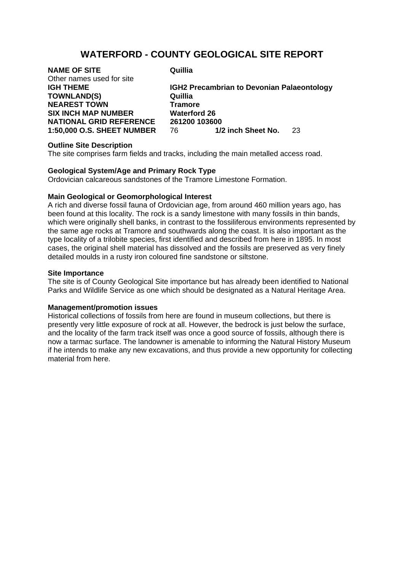# **WATERFORD - COUNTY GEOLOGICAL SITE REPORT**

| <b>NAME OF SITE</b>               | Quillia                                           |
|-----------------------------------|---------------------------------------------------|
| Other names used for site         |                                                   |
| <b>IGH THEME</b>                  | <b>IGH2 Precambrian to Devonian Palaeontology</b> |
| <b>TOWNLAND(S)</b>                | Quillia                                           |
| <b>NEAREST TOWN</b>               | <b>Tramore</b>                                    |
| <b>SIX INCH MAP NUMBER</b>        | <b>Waterford 26</b>                               |
| <b>NATIONAL GRID REFERENCE</b>    | 261200 103600                                     |
| <b>1:50,000 O.S. SHEET NUMBER</b> | 1/2 inch Sheet No.<br>76 -<br>-23                 |
|                                   |                                                   |

#### **Outline Site Description**

The site comprises farm fields and tracks, including the main metalled access road.

## **Geological System/Age and Primary Rock Type**

Ordovician calcareous sandstones of the Tramore Limestone Formation.

## **Main Geological or Geomorphological Interest**

A rich and diverse fossil fauna of Ordovician age, from around 460 million years ago, has been found at this locality. The rock is a sandy limestone with many fossils in thin bands, which were originally shell banks, in contrast to the fossiliferous environments represented by the same age rocks at Tramore and southwards along the coast. It is also important as the type locality of a trilobite species, first identified and described from here in 1895. In most cases, the original shell material has dissolved and the fossils are preserved as very finely detailed moulds in a rusty iron coloured fine sandstone or siltstone.

## **Site Importance**

The site is of County Geological Site importance but has already been identified to National Parks and Wildlife Service as one which should be designated as a Natural Heritage Area.

#### **Management/promotion issues**

Historical collections of fossils from here are found in museum collections, but there is presently very little exposure of rock at all. However, the bedrock is just below the surface, and the locality of the farm track itself was once a good source of fossils, although there is now a tarmac surface. The landowner is amenable to informing the Natural History Museum if he intends to make any new excavations, and thus provide a new opportunity for collecting material from here.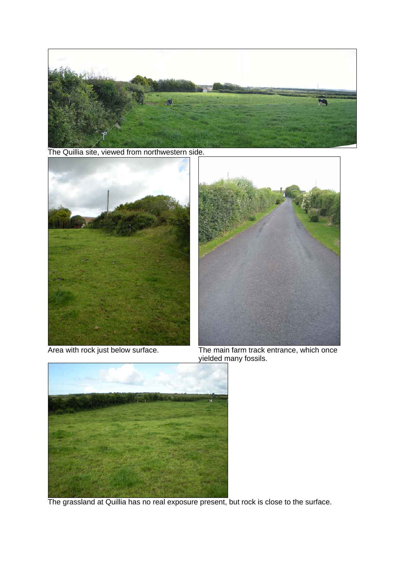

The Quillia site, viewed from northwestern side.





Area with rock just below surface. The main farm track entrance, which once yielded many fossils.



The grassland at Quillia has no real exposure present, but rock is close to the surface.